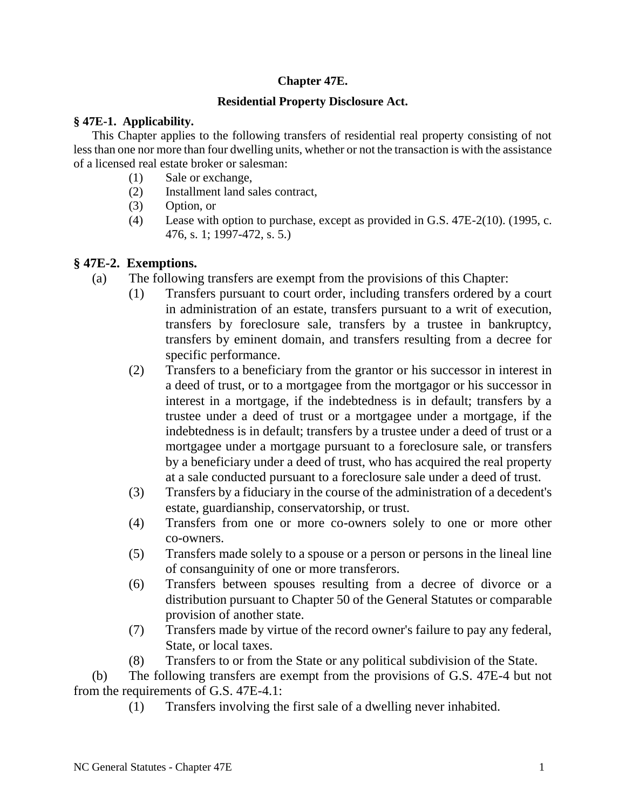## **Chapter 47E.**

## **Residential Property Disclosure Act.**

## **§ 47E-1. Applicability.**

This Chapter applies to the following transfers of residential real property consisting of not less than one nor more than four dwelling units, whether or not the transaction is with the assistance of a licensed real estate broker or salesman:

- (1) Sale or exchange,
- (2) Installment land sales contract,
- (3) Option, or
- (4) Lease with option to purchase, except as provided in G.S. 47E-2(10). (1995, c. 476, s. 1; 1997-472, s. 5.)

# **§ 47E-2. Exemptions.**

- (a) The following transfers are exempt from the provisions of this Chapter:
	- (1) Transfers pursuant to court order, including transfers ordered by a court in administration of an estate, transfers pursuant to a writ of execution, transfers by foreclosure sale, transfers by a trustee in bankruptcy, transfers by eminent domain, and transfers resulting from a decree for specific performance.
	- (2) Transfers to a beneficiary from the grantor or his successor in interest in a deed of trust, or to a mortgagee from the mortgagor or his successor in interest in a mortgage, if the indebtedness is in default; transfers by a trustee under a deed of trust or a mortgagee under a mortgage, if the indebtedness is in default; transfers by a trustee under a deed of trust or a mortgagee under a mortgage pursuant to a foreclosure sale, or transfers by a beneficiary under a deed of trust, who has acquired the real property at a sale conducted pursuant to a foreclosure sale under a deed of trust.
	- (3) Transfers by a fiduciary in the course of the administration of a decedent's estate, guardianship, conservatorship, or trust.
	- (4) Transfers from one or more co-owners solely to one or more other co-owners.
	- (5) Transfers made solely to a spouse or a person or persons in the lineal line of consanguinity of one or more transferors.
	- (6) Transfers between spouses resulting from a decree of divorce or a distribution pursuant to Chapter 50 of the General Statutes or comparable provision of another state.
	- (7) Transfers made by virtue of the record owner's failure to pay any federal, State, or local taxes.
	- (8) Transfers to or from the State or any political subdivision of the State.

(b) The following transfers are exempt from the provisions of G.S. 47E-4 but not from the requirements of G.S. 47E-4.1:

(1) Transfers involving the first sale of a dwelling never inhabited.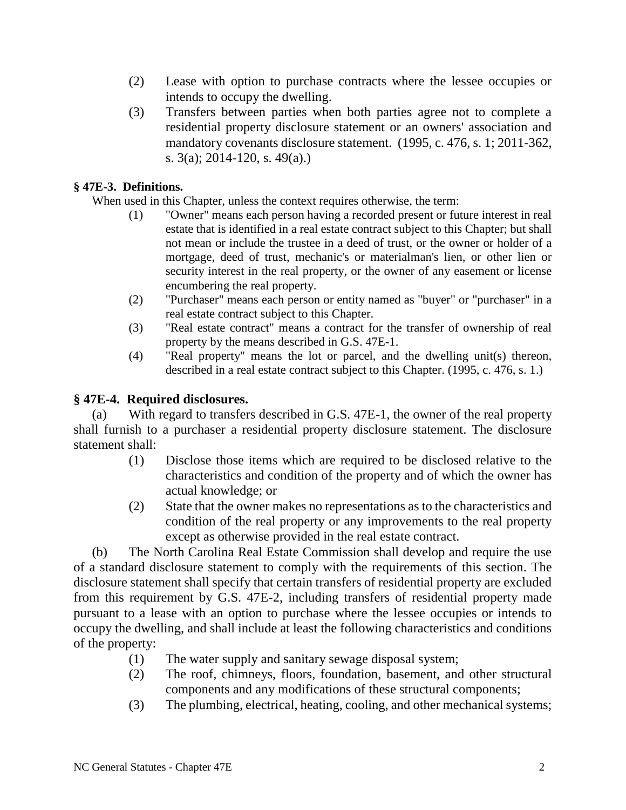- (2) Lease with option to purchase contracts where the lessee occupies or intends to occupy the dwelling.
- (3) Transfers between parties when both parties agree not to complete a residential property disclosure statement or an owners' association and mandatory covenants disclosure statement. (1995, c. 476, s. 1; 2011-362, s. 3(a); 2014-120, s. 49(a).)

## **§ 47E-3. Definitions.**

When used in this Chapter, unless the context requires otherwise, the term:

- (1) "Owner" means each person having a recorded present or future interest in real estate that is identified in a real estate contract subject to this Chapter; but shall not mean or include the trustee in a deed of trust, or the owner or holder of a mortgage, deed of trust, mechanic's or materialman's lien, or other lien or security interest in the real property, or the owner of any easement or license encumbering the real property.
- (2) "Purchaser" means each person or entity named as "buyer" or "purchaser" in a real estate contract subject to this Chapter.
- (3) "Real estate contract" means a contract for the transfer of ownership of real property by the means described in G.S. 47E-1.
- (4) "Real property" means the lot or parcel, and the dwelling unit(s) thereon, described in a real estate contract subject to this Chapter. (1995, c. 476, s. 1.)

## **§ 47E-4. Required disclosures.**

(a) With regard to transfers described in G.S. 47E-1, the owner of the real property shall furnish to a purchaser a residential property disclosure statement. The disclosure statement shall:

- (1) Disclose those items which are required to be disclosed relative to the characteristics and condition of the property and of which the owner has actual knowledge; or
- (2) State that the owner makes no representations as to the characteristics and condition of the real property or any improvements to the real property except as otherwise provided in the real estate contract.

(b) The North Carolina Real Estate Commission shall develop and require the use of a standard disclosure statement to comply with the requirements of this section. The disclosure statement shall specify that certain transfers of residential property are excluded from this requirement by G.S. 47E-2, including transfers of residential property made pursuant to a lease with an option to purchase where the lessee occupies or intends to occupy the dwelling, and shall include at least the following characteristics and conditions of the property:

- (1) The water supply and sanitary sewage disposal system;
- (2) The roof, chimneys, floors, foundation, basement, and other structural components and any modifications of these structural components;
- (3) The plumbing, electrical, heating, cooling, and other mechanical systems;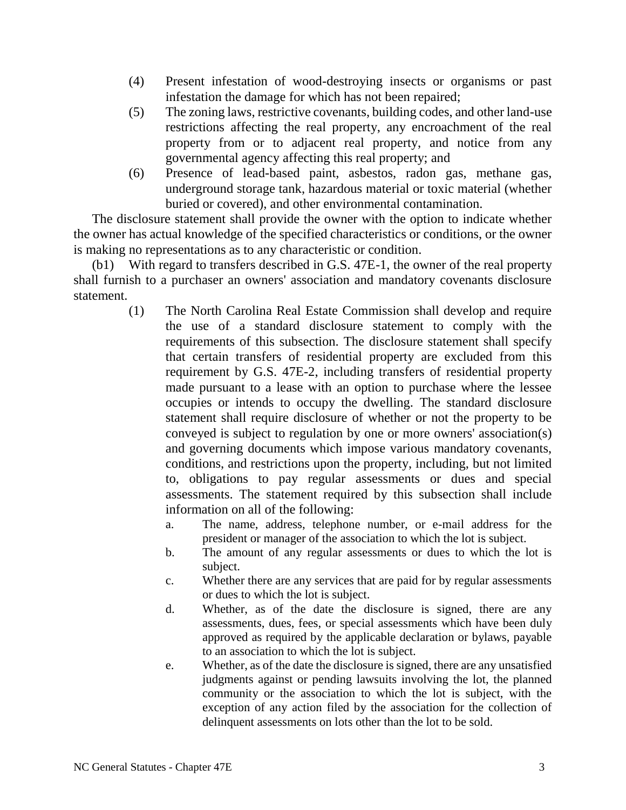- (4) Present infestation of wood-destroying insects or organisms or past infestation the damage for which has not been repaired;
- (5) The zoning laws, restrictive covenants, building codes, and other land-use restrictions affecting the real property, any encroachment of the real property from or to adjacent real property, and notice from any governmental agency affecting this real property; and
- (6) Presence of lead-based paint, asbestos, radon gas, methane gas, underground storage tank, hazardous material or toxic material (whether buried or covered), and other environmental contamination.

The disclosure statement shall provide the owner with the option to indicate whether the owner has actual knowledge of the specified characteristics or conditions, or the owner is making no representations as to any characteristic or condition.

(b1) With regard to transfers described in G.S. 47E-1, the owner of the real property shall furnish to a purchaser an owners' association and mandatory covenants disclosure statement.

- (1) The North Carolina Real Estate Commission shall develop and require the use of a standard disclosure statement to comply with the requirements of this subsection. The disclosure statement shall specify that certain transfers of residential property are excluded from this requirement by G.S. 47E-2, including transfers of residential property made pursuant to a lease with an option to purchase where the lessee occupies or intends to occupy the dwelling. The standard disclosure statement shall require disclosure of whether or not the property to be conveyed is subject to regulation by one or more owners' association(s) and governing documents which impose various mandatory covenants, conditions, and restrictions upon the property, including, but not limited to, obligations to pay regular assessments or dues and special assessments. The statement required by this subsection shall include information on all of the following:
	- a. The name, address, telephone number, or e-mail address for the president or manager of the association to which the lot is subject.
	- b. The amount of any regular assessments or dues to which the lot is subject.
	- c. Whether there are any services that are paid for by regular assessments or dues to which the lot is subject.
	- d. Whether, as of the date the disclosure is signed, there are any assessments, dues, fees, or special assessments which have been duly approved as required by the applicable declaration or bylaws, payable to an association to which the lot is subject.
	- e. Whether, as of the date the disclosure is signed, there are any unsatisfied judgments against or pending lawsuits involving the lot, the planned community or the association to which the lot is subject, with the exception of any action filed by the association for the collection of delinquent assessments on lots other than the lot to be sold.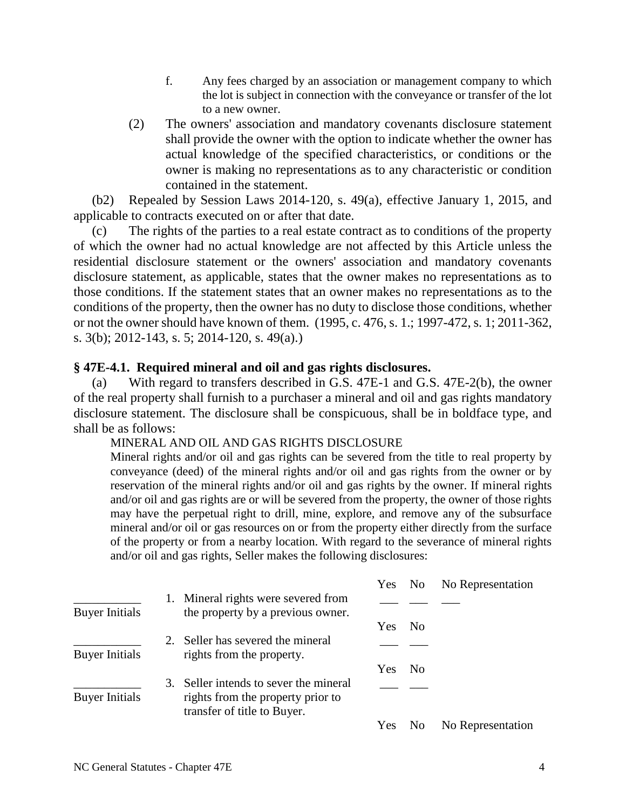- f. Any fees charged by an association or management company to which the lot is subject in connection with the conveyance or transfer of the lot to a new owner.
- (2) The owners' association and mandatory covenants disclosure statement shall provide the owner with the option to indicate whether the owner has actual knowledge of the specified characteristics, or conditions or the owner is making no representations as to any characteristic or condition contained in the statement.

(b2) Repealed by Session Laws 2014-120, s. 49(a), effective January 1, 2015, and applicable to contracts executed on or after that date.

(c) The rights of the parties to a real estate contract as to conditions of the property of which the owner had no actual knowledge are not affected by this Article unless the residential disclosure statement or the owners' association and mandatory covenants disclosure statement, as applicable, states that the owner makes no representations as to those conditions. If the statement states that an owner makes no representations as to the conditions of the property, then the owner has no duty to disclose those conditions, whether or not the owner should have known of them. (1995, c. 476, s. 1.; 1997-472, s. 1; 2011-362, s. 3(b); 2012-143, s. 5; 2014-120, s. 49(a).)

## **§ 47E-4.1. Required mineral and oil and gas rights disclosures.**

(a) With regard to transfers described in G.S. 47E-1 and G.S. 47E-2(b), the owner of the real property shall furnish to a purchaser a mineral and oil and gas rights mandatory disclosure statement. The disclosure shall be conspicuous, shall be in boldface type, and shall be as follows:

#### MINERAL AND OIL AND GAS RIGHTS DISCLOSURE

Mineral rights and/or oil and gas rights can be severed from the title to real property by conveyance (deed) of the mineral rights and/or oil and gas rights from the owner or by reservation of the mineral rights and/or oil and gas rights by the owner. If mineral rights and/or oil and gas rights are or will be severed from the property, the owner of those rights may have the perpetual right to drill, mine, explore, and remove any of the subsurface mineral and/or oil or gas resources on or from the property either directly from the surface of the property or from a nearby location. With regard to the severance of mineral rights and/or oil and gas rights, Seller makes the following disclosures:

|                       |                                                                                                            | Yes | N <sub>0</sub> | No Representation |
|-----------------------|------------------------------------------------------------------------------------------------------------|-----|----------------|-------------------|
| <b>Buyer Initials</b> | 1. Mineral rights were severed from<br>the property by a previous owner.                                   |     |                |                   |
|                       |                                                                                                            | Yes | - No           |                   |
| <b>Buyer Initials</b> | 2. Seller has severed the mineral<br>rights from the property.                                             |     |                |                   |
|                       |                                                                                                            | Yes | N <sub>0</sub> |                   |
| <b>Buyer Initials</b> | 3. Seller intends to sever the mineral<br>rights from the property prior to<br>transfer of title to Buyer. |     |                |                   |
|                       |                                                                                                            | Yes |                | No Representation |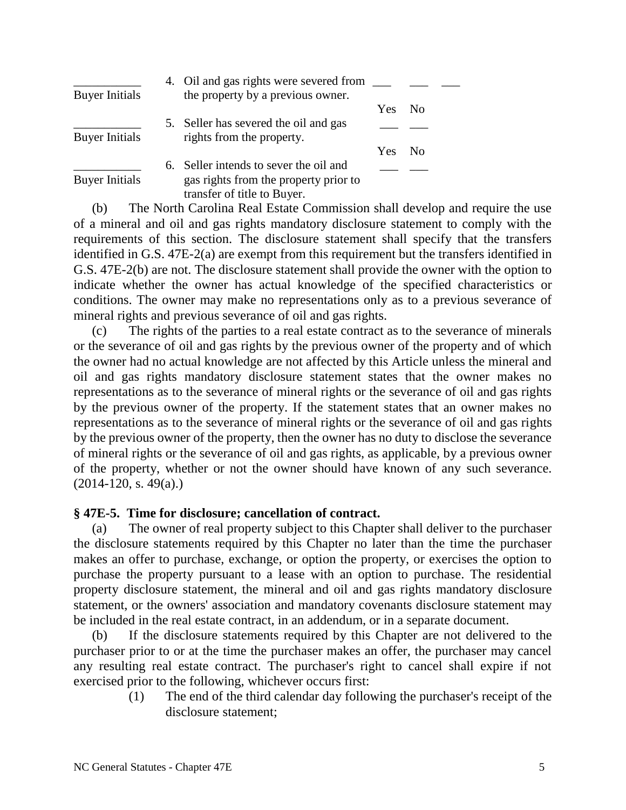|                       | 4. Oil and gas rights were severed from                                                                        |     |                |  |
|-----------------------|----------------------------------------------------------------------------------------------------------------|-----|----------------|--|
| <b>Buyer Initials</b> | the property by a previous owner.                                                                              |     |                |  |
|                       |                                                                                                                | Yes | N <sub>0</sub> |  |
| <b>Buyer Initials</b> | 5. Seller has severed the oil and gas<br>rights from the property.                                             |     |                |  |
|                       |                                                                                                                | Yes | N <sub>0</sub> |  |
| Buyer Initials        | 6. Seller intends to sever the oil and<br>gas rights from the property prior to<br>transfer of title to Buyer. |     |                |  |

(b) The North Carolina Real Estate Commission shall develop and require the use of a mineral and oil and gas rights mandatory disclosure statement to comply with the requirements of this section. The disclosure statement shall specify that the transfers identified in G.S. 47E-2(a) are exempt from this requirement but the transfers identified in G.S. 47E-2(b) are not. The disclosure statement shall provide the owner with the option to indicate whether the owner has actual knowledge of the specified characteristics or conditions. The owner may make no representations only as to a previous severance of mineral rights and previous severance of oil and gas rights.

(c) The rights of the parties to a real estate contract as to the severance of minerals or the severance of oil and gas rights by the previous owner of the property and of which the owner had no actual knowledge are not affected by this Article unless the mineral and oil and gas rights mandatory disclosure statement states that the owner makes no representations as to the severance of mineral rights or the severance of oil and gas rights by the previous owner of the property. If the statement states that an owner makes no representations as to the severance of mineral rights or the severance of oil and gas rights by the previous owner of the property, then the owner has no duty to disclose the severance of mineral rights or the severance of oil and gas rights, as applicable, by a previous owner of the property, whether or not the owner should have known of any such severance.  $(2014-120, s. 49(a))$ 

# **§ 47E-5. Time for disclosure; cancellation of contract.**

(a) The owner of real property subject to this Chapter shall deliver to the purchaser the disclosure statements required by this Chapter no later than the time the purchaser makes an offer to purchase, exchange, or option the property, or exercises the option to purchase the property pursuant to a lease with an option to purchase. The residential property disclosure statement, the mineral and oil and gas rights mandatory disclosure statement, or the owners' association and mandatory covenants disclosure statement may be included in the real estate contract, in an addendum, or in a separate document.

(b) If the disclosure statements required by this Chapter are not delivered to the purchaser prior to or at the time the purchaser makes an offer, the purchaser may cancel any resulting real estate contract. The purchaser's right to cancel shall expire if not exercised prior to the following, whichever occurs first:

> (1) The end of the third calendar day following the purchaser's receipt of the disclosure statement;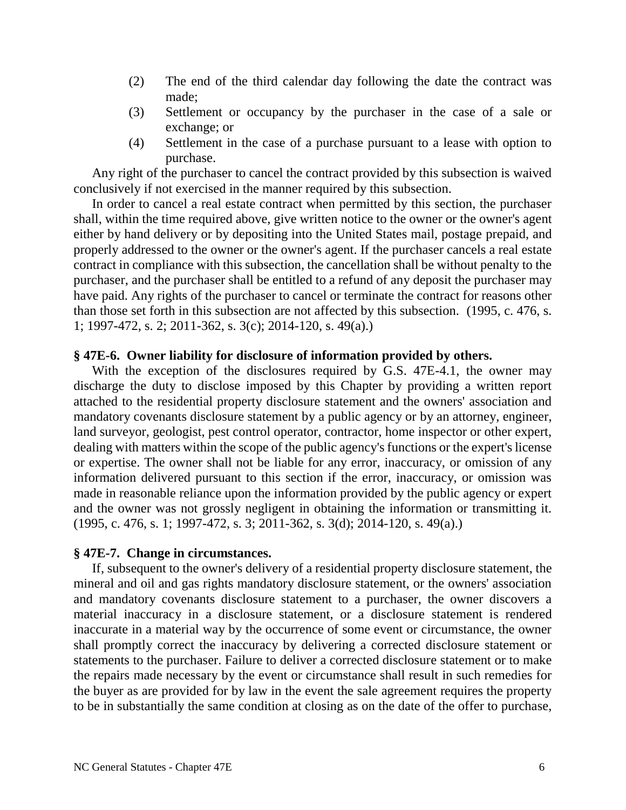- (2) The end of the third calendar day following the date the contract was made;
- (3) Settlement or occupancy by the purchaser in the case of a sale or exchange; or
- (4) Settlement in the case of a purchase pursuant to a lease with option to purchase.

Any right of the purchaser to cancel the contract provided by this subsection is waived conclusively if not exercised in the manner required by this subsection.

In order to cancel a real estate contract when permitted by this section, the purchaser shall, within the time required above, give written notice to the owner or the owner's agent either by hand delivery or by depositing into the United States mail, postage prepaid, and properly addressed to the owner or the owner's agent. If the purchaser cancels a real estate contract in compliance with this subsection, the cancellation shall be without penalty to the purchaser, and the purchaser shall be entitled to a refund of any deposit the purchaser may have paid. Any rights of the purchaser to cancel or terminate the contract for reasons other than those set forth in this subsection are not affected by this subsection. (1995, c. 476, s. 1; 1997-472, s. 2; 2011-362, s. 3(c); 2014-120, s. 49(a).)

### **§ 47E-6. Owner liability for disclosure of information provided by others.**

With the exception of the disclosures required by G.S. 47E-4.1, the owner may discharge the duty to disclose imposed by this Chapter by providing a written report attached to the residential property disclosure statement and the owners' association and mandatory covenants disclosure statement by a public agency or by an attorney, engineer, land surveyor, geologist, pest control operator, contractor, home inspector or other expert, dealing with matters within the scope of the public agency's functions or the expert's license or expertise. The owner shall not be liable for any error, inaccuracy, or omission of any information delivered pursuant to this section if the error, inaccuracy, or omission was made in reasonable reliance upon the information provided by the public agency or expert and the owner was not grossly negligent in obtaining the information or transmitting it. (1995, c. 476, s. 1; 1997-472, s. 3; 2011-362, s. 3(d); 2014-120, s. 49(a).)

#### **§ 47E-7. Change in circumstances.**

If, subsequent to the owner's delivery of a residential property disclosure statement, the mineral and oil and gas rights mandatory disclosure statement, or the owners' association and mandatory covenants disclosure statement to a purchaser, the owner discovers a material inaccuracy in a disclosure statement, or a disclosure statement is rendered inaccurate in a material way by the occurrence of some event or circumstance, the owner shall promptly correct the inaccuracy by delivering a corrected disclosure statement or statements to the purchaser. Failure to deliver a corrected disclosure statement or to make the repairs made necessary by the event or circumstance shall result in such remedies for the buyer as are provided for by law in the event the sale agreement requires the property to be in substantially the same condition at closing as on the date of the offer to purchase,